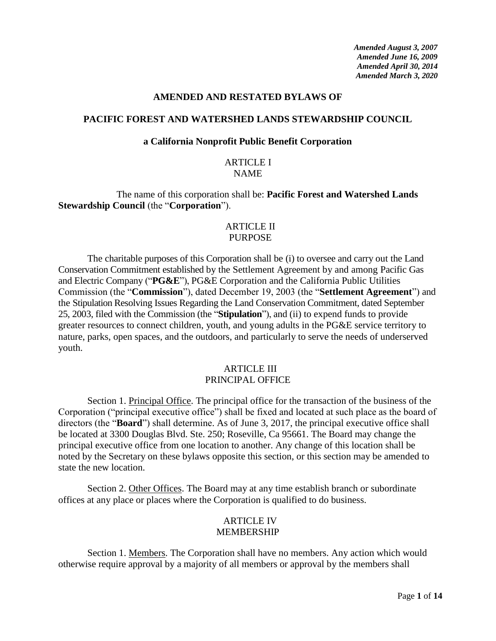*Amended August 3, 2007 Amended June 16, 2009 Amended April 30, 2014 Amended March 3, 2020*

#### **AMENDED AND RESTATED BYLAWS OF**

#### **PACIFIC FOREST AND WATERSHED LANDS STEWARDSHIP COUNCIL**

#### **a California Nonprofit Public Benefit Corporation**

#### ARTICLE I NAME

The name of this corporation shall be: **Pacific Forest and Watershed Lands Stewardship Council** (the "**Corporation**").

### ARTICLE II PURPOSE

The charitable purposes of this Corporation shall be (i) to oversee and carry out the Land Conservation Commitment established by the Settlement Agreement by and among Pacific Gas and Electric Company ("**PG&E**"), PG&E Corporation and the California Public Utilities Commission (the "**Commission**"), dated December 19, 2003 (the "**Settlement Agreement**") and the Stipulation Resolving Issues Regarding the Land Conservation Commitment, dated September 25, 2003, filed with the Commission (the "**Stipulation**"), and (ii) to expend funds to provide greater resources to connect children, youth, and young adults in the PG&E service territory to nature, parks, open spaces, and the outdoors, and particularly to serve the needs of underserved youth.

### ARTICLE III PRINCIPAL OFFICE

Section 1. Principal Office. The principal office for the transaction of the business of the Corporation ("principal executive office") shall be fixed and located at such place as the board of directors (the "**Board**") shall determine. As of June 3, 2017, the principal executive office shall be located at 3300 Douglas Blvd. Ste. 250; Roseville, Ca 95661. The Board may change the principal executive office from one location to another. Any change of this location shall be noted by the Secretary on these bylaws opposite this section, or this section may be amended to state the new location.

Section 2. Other Offices. The Board may at any time establish branch or subordinate offices at any place or places where the Corporation is qualified to do business.

### ARTICLE IV MEMBERSHIP

Section 1. Members. The Corporation shall have no members. Any action which would otherwise require approval by a majority of all members or approval by the members shall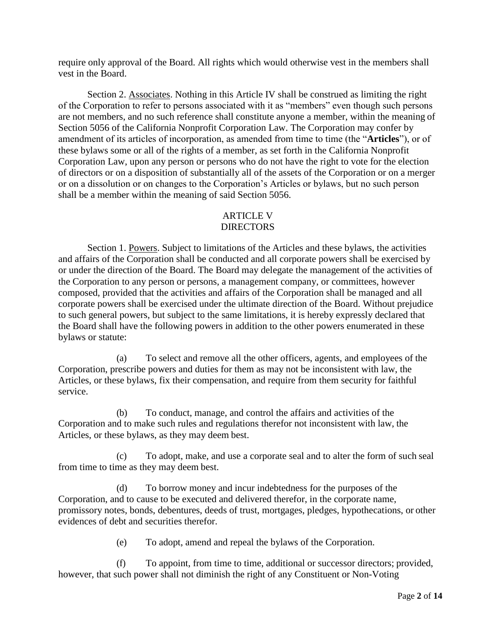require only approval of the Board. All rights which would otherwise vest in the members shall vest in the Board.

Section 2. Associates. Nothing in this Article IV shall be construed as limiting the right of the Corporation to refer to persons associated with it as "members" even though such persons are not members, and no such reference shall constitute anyone a member, within the meaning of Section 5056 of the California Nonprofit Corporation Law. The Corporation may confer by amendment of its articles of incorporation, as amended from time to time (the "**Articles**"), or of these bylaws some or all of the rights of a member, as set forth in the California Nonprofit Corporation Law, upon any person or persons who do not have the right to vote for the election of directors or on a disposition of substantially all of the assets of the Corporation or on a merger or on a dissolution or on changes to the Corporation's Articles or bylaws, but no such person shall be a member within the meaning of said Section 5056.

# ARTICLE V DIRECTORS

Section 1. Powers. Subject to limitations of the Articles and these bylaws, the activities and affairs of the Corporation shall be conducted and all corporate powers shall be exercised by or under the direction of the Board. The Board may delegate the management of the activities of the Corporation to any person or persons, a management company, or committees, however composed, provided that the activities and affairs of the Corporation shall be managed and all corporate powers shall be exercised under the ultimate direction of the Board. Without prejudice to such general powers, but subject to the same limitations, it is hereby expressly declared that the Board shall have the following powers in addition to the other powers enumerated in these bylaws or statute:

(a) To select and remove all the other officers, agents, and employees of the Corporation, prescribe powers and duties for them as may not be inconsistent with law, the Articles, or these bylaws, fix their compensation, and require from them security for faithful service.

(b) To conduct, manage, and control the affairs and activities of the Corporation and to make such rules and regulations therefor not inconsistent with law, the Articles, or these bylaws, as they may deem best.

(c) To adopt, make, and use a corporate seal and to alter the form of such seal from time to time as they may deem best.

(d) To borrow money and incur indebtedness for the purposes of the Corporation, and to cause to be executed and delivered therefor, in the corporate name, promissory notes, bonds, debentures, deeds of trust, mortgages, pledges, hypothecations, or other evidences of debt and securities therefor.

(e) To adopt, amend and repeal the bylaws of the Corporation.

(f) To appoint, from time to time, additional or successor directors; provided, however, that such power shall not diminish the right of any Constituent or Non-Voting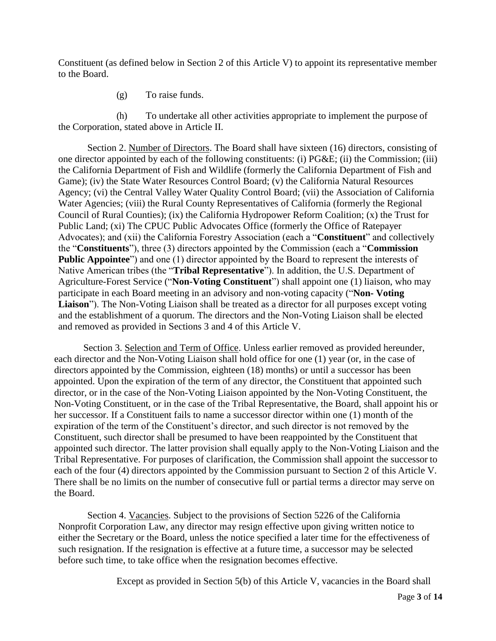Constituent (as defined below in Section 2 of this Article V) to appoint its representative member to the Board.

(g) To raise funds.

(h) To undertake all other activities appropriate to implement the purpose of the Corporation, stated above in Article II.

Section 2. Number of Directors. The Board shall have sixteen (16) directors, consisting of one director appointed by each of the following constituents: (i) PG&E; (ii) the Commission; (iii) the California Department of Fish and Wildlife (formerly the California Department of Fish and Game); (iv) the State Water Resources Control Board; (v) the California Natural Resources Agency; (vi) the Central Valley Water Quality Control Board; (vii) the Association of California Water Agencies; (viii) the Rural County Representatives of California (formerly the Regional Council of Rural Counties); (ix) the California Hydropower Reform Coalition; (x) the Trust for Public Land; (xi) The CPUC Public Advocates Office (formerly the Office of Ratepayer Advocates); and (xii) the California Forestry Association (each a "**Constituent**" and collectively the "**Constituents**"), three (3) directors appointed by the Commission (each a "**Commission Public Appointee**") and one (1) director appointed by the Board to represent the interests of Native American tribes (the "**Tribal Representative**"). In addition, the U.S. Department of Agriculture-Forest Service ("**Non-Voting Constituent**") shall appoint one (1) liaison, who may participate in each Board meeting in an advisory and non-voting capacity ("**Non- Voting Liaison**"). The Non-Voting Liaison shall be treated as a director for all purposes except voting and the establishment of a quorum. The directors and the Non-Voting Liaison shall be elected and removed as provided in Sections 3 and 4 of this Article V.

Section 3. Selection and Term of Office. Unless earlier removed as provided hereunder, each director and the Non-Voting Liaison shall hold office for one (1) year (or, in the case of directors appointed by the Commission, eighteen (18) months) or until a successor has been appointed. Upon the expiration of the term of any director, the Constituent that appointed such director, or in the case of the Non-Voting Liaison appointed by the Non-Voting Constituent, the Non-Voting Constituent, or in the case of the Tribal Representative, the Board, shall appoint his or her successor. If a Constituent fails to name a successor director within one (1) month of the expiration of the term of the Constituent's director, and such director is not removed by the Constituent, such director shall be presumed to have been reappointed by the Constituent that appointed such director. The latter provision shall equally apply to the Non-Voting Liaison and the Tribal Representative. For purposes of clarification, the Commission shall appoint the successor to each of the four (4) directors appointed by the Commission pursuant to Section 2 of this Article V. There shall be no limits on the number of consecutive full or partial terms a director may serve on the Board.

Section 4. Vacancies. Subject to the provisions of Section 5226 of the California Nonprofit Corporation Law, any director may resign effective upon giving written notice to either the Secretary or the Board, unless the notice specified a later time for the effectiveness of such resignation. If the resignation is effective at a future time, a successor may be selected before such time, to take office when the resignation becomes effective.

Except as provided in Section 5(b) of this Article V, vacancies in the Board shall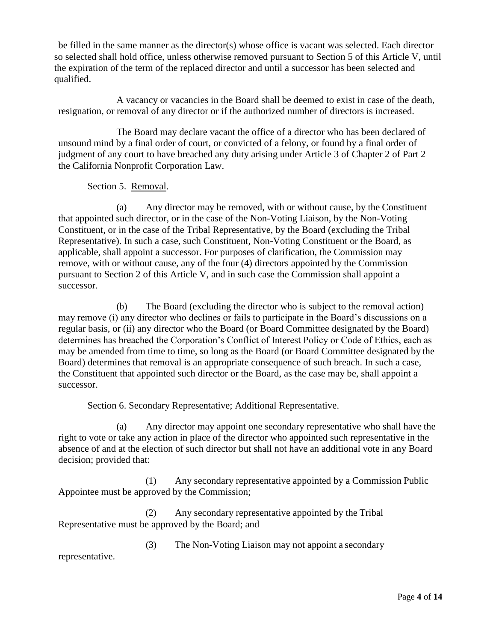be filled in the same manner as the director(s) whose office is vacant was selected. Each director so selected shall hold office, unless otherwise removed pursuant to Section 5 of this Article V, until the expiration of the term of the replaced director and until a successor has been selected and qualified.

A vacancy or vacancies in the Board shall be deemed to exist in case of the death, resignation, or removal of any director or if the authorized number of directors is increased.

The Board may declare vacant the office of a director who has been declared of unsound mind by a final order of court, or convicted of a felony, or found by a final order of judgment of any court to have breached any duty arising under Article 3 of Chapter 2 of Part 2 the California Nonprofit Corporation Law.

Section 5. Removal.

(a) Any director may be removed, with or without cause, by the Constituent that appointed such director, or in the case of the Non-Voting Liaison, by the Non-Voting Constituent, or in the case of the Tribal Representative, by the Board (excluding the Tribal Representative). In such a case, such Constituent, Non-Voting Constituent or the Board, as applicable, shall appoint a successor. For purposes of clarification, the Commission may remove, with or without cause, any of the four (4) directors appointed by the Commission pursuant to Section 2 of this Article V, and in such case the Commission shall appoint a successor.

(b) The Board (excluding the director who is subject to the removal action) may remove (i) any director who declines or fails to participate in the Board's discussions on a regular basis, or (ii) any director who the Board (or Board Committee designated by the Board) determines has breached the Corporation's Conflict of Interest Policy or Code of Ethics, each as may be amended from time to time, so long as the Board (or Board Committee designated by the Board) determines that removal is an appropriate consequence of such breach. In such a case, the Constituent that appointed such director or the Board, as the case may be, shall appoint a successor.

# Section 6. Secondary Representative; Additional Representative.

(a) Any director may appoint one secondary representative who shall have the right to vote or take any action in place of the director who appointed such representative in the absence of and at the election of such director but shall not have an additional vote in any Board decision; provided that:

(1) Any secondary representative appointed by a Commission Public Appointee must be approved by the Commission;

(2) Any secondary representative appointed by the Tribal Representative must be approved by the Board; and

(3) The Non-Voting Liaison may not appoint a secondary

representative.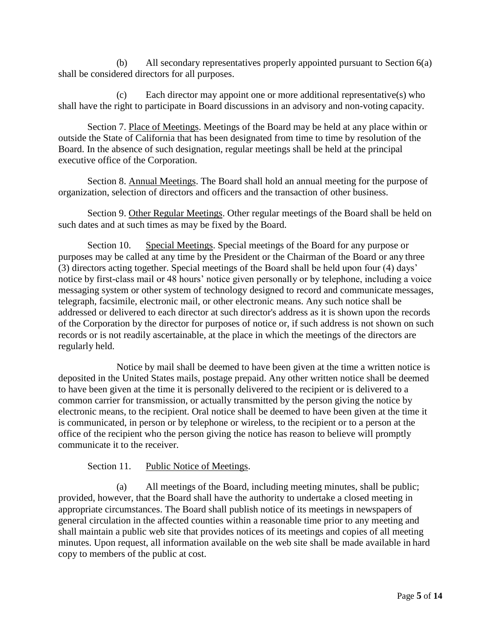(b) All secondary representatives properly appointed pursuant to Section 6(a) shall be considered directors for all purposes.

(c) Each director may appoint one or more additional representative(s) who shall have the right to participate in Board discussions in an advisory and non-voting capacity.

Section 7. Place of Meetings. Meetings of the Board may be held at any place within or outside the State of California that has been designated from time to time by resolution of the Board. In the absence of such designation, regular meetings shall be held at the principal executive office of the Corporation.

Section 8. Annual Meetings. The Board shall hold an annual meeting for the purpose of organization, selection of directors and officers and the transaction of other business.

Section 9. Other Regular Meetings. Other regular meetings of the Board shall be held on such dates and at such times as may be fixed by the Board.

Section 10. Special Meetings. Special meetings of the Board for any purpose or purposes may be called at any time by the President or the Chairman of the Board or any three (3) directors acting together. Special meetings of the Board shall be held upon four (4) days' notice by first-class mail or 48 hours' notice given personally or by telephone, including a voice messaging system or other system of technology designed to record and communicate messages, telegraph, facsimile, electronic mail, or other electronic means. Any such notice shall be addressed or delivered to each director at such director's address as it is shown upon the records of the Corporation by the director for purposes of notice or, if such address is not shown on such records or is not readily ascertainable, at the place in which the meetings of the directors are regularly held.

Notice by mail shall be deemed to have been given at the time a written notice is deposited in the United States mails, postage prepaid. Any other written notice shall be deemed to have been given at the time it is personally delivered to the recipient or is delivered to a common carrier for transmission, or actually transmitted by the person giving the notice by electronic means, to the recipient. Oral notice shall be deemed to have been given at the time it is communicated, in person or by telephone or wireless, to the recipient or to a person at the office of the recipient who the person giving the notice has reason to believe will promptly communicate it to the receiver.

Section 11. Public Notice of Meetings.

(a) All meetings of the Board, including meeting minutes, shall be public; provided, however, that the Board shall have the authority to undertake a closed meeting in appropriate circumstances. The Board shall publish notice of its meetings in newspapers of general circulation in the affected counties within a reasonable time prior to any meeting and shall maintain a public web site that provides notices of its meetings and copies of all meeting minutes. Upon request, all information available on the web site shall be made available in hard copy to members of the public at cost.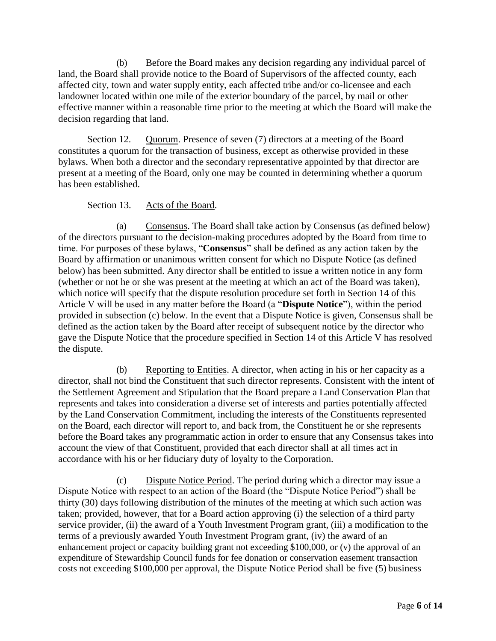(b) Before the Board makes any decision regarding any individual parcel of land, the Board shall provide notice to the Board of Supervisors of the affected county, each affected city, town and water supply entity, each affected tribe and/or co-licensee and each landowner located within one mile of the exterior boundary of the parcel, by mail or other effective manner within a reasonable time prior to the meeting at which the Board will make the decision regarding that land.

Section 12. Quorum. Presence of seven (7) directors at a meeting of the Board constitutes a quorum for the transaction of business, except as otherwise provided in these bylaws. When both a director and the secondary representative appointed by that director are present at a meeting of the Board, only one may be counted in determining whether a quorum has been established.

## Section 13. Acts of the Board.

(a) Consensus. The Board shall take action by Consensus (as defined below) of the directors pursuant to the decision-making procedures adopted by the Board from time to time. For purposes of these bylaws, "**Consensus**" shall be defined as any action taken by the Board by affirmation or unanimous written consent for which no Dispute Notice (as defined below) has been submitted. Any director shall be entitled to issue a written notice in any form (whether or not he or she was present at the meeting at which an act of the Board was taken), which notice will specify that the dispute resolution procedure set forth in Section 14 of this Article V will be used in any matter before the Board (a "**Dispute Notice**"), within the period provided in subsection (c) below. In the event that a Dispute Notice is given, Consensus shall be defined as the action taken by the Board after receipt of subsequent notice by the director who gave the Dispute Notice that the procedure specified in Section 14 of this Article V has resolved the dispute.

(b) Reporting to Entities. A director, when acting in his or her capacity as a director, shall not bind the Constituent that such director represents. Consistent with the intent of the Settlement Agreement and Stipulation that the Board prepare a Land Conservation Plan that represents and takes into consideration a diverse set of interests and parties potentially affected by the Land Conservation Commitment, including the interests of the Constituents represented on the Board, each director will report to, and back from, the Constituent he or she represents before the Board takes any programmatic action in order to ensure that any Consensus takes into account the view of that Constituent, provided that each director shall at all times act in accordance with his or her fiduciary duty of loyalty to the Corporation.

(c) Dispute Notice Period. The period during which a director may issue a Dispute Notice with respect to an action of the Board (the "Dispute Notice Period") shall be thirty (30) days following distribution of the minutes of the meeting at which such action was taken; provided, however, that for a Board action approving (i) the selection of a third party service provider, (ii) the award of a Youth Investment Program grant, (iii) a modification to the terms of a previously awarded Youth Investment Program grant, (iv) the award of an enhancement project or capacity building grant not exceeding \$100,000, or (v) the approval of an expenditure of Stewardship Council funds for fee donation or conservation easement transaction costs not exceeding \$100,000 per approval, the Dispute Notice Period shall be five (5) business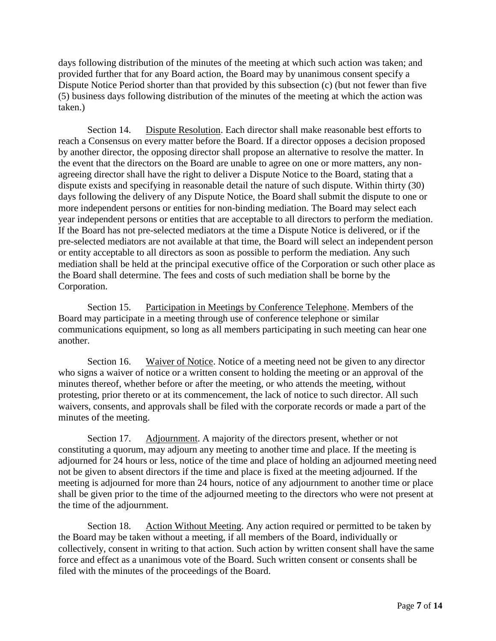days following distribution of the minutes of the meeting at which such action was taken; and provided further that for any Board action, the Board may by unanimous consent specify a Dispute Notice Period shorter than that provided by this subsection (c) (but not fewer than five (5) business days following distribution of the minutes of the meeting at which the action was taken.)

Section 14. Dispute Resolution. Each director shall make reasonable best efforts to reach a Consensus on every matter before the Board. If a director opposes a decision proposed by another director, the opposing director shall propose an alternative to resolve the matter. In the event that the directors on the Board are unable to agree on one or more matters, any nonagreeing director shall have the right to deliver a Dispute Notice to the Board, stating that a dispute exists and specifying in reasonable detail the nature of such dispute. Within thirty (30) days following the delivery of any Dispute Notice, the Board shall submit the dispute to one or more independent persons or entities for non-binding mediation. The Board may select each year independent persons or entities that are acceptable to all directors to perform the mediation. If the Board has not pre-selected mediators at the time a Dispute Notice is delivered, or if the pre-selected mediators are not available at that time, the Board will select an independent person or entity acceptable to all directors as soon as possible to perform the mediation. Any such mediation shall be held at the principal executive office of the Corporation or such other place as the Board shall determine. The fees and costs of such mediation shall be borne by the Corporation.

Section 15. Participation in Meetings by Conference Telephone. Members of the Board may participate in a meeting through use of conference telephone or similar communications equipment, so long as all members participating in such meeting can hear one another.

Section 16. Waiver of Notice. Notice of a meeting need not be given to any director who signs a waiver of notice or a written consent to holding the meeting or an approval of the minutes thereof, whether before or after the meeting, or who attends the meeting, without protesting, prior thereto or at its commencement, the lack of notice to such director. All such waivers, consents, and approvals shall be filed with the corporate records or made a part of the minutes of the meeting.

Section 17. Adjournment. A majority of the directors present, whether or not constituting a quorum, may adjourn any meeting to another time and place. If the meeting is adjourned for 24 hours or less, notice of the time and place of holding an adjourned meeting need not be given to absent directors if the time and place is fixed at the meeting adjourned. If the meeting is adjourned for more than 24 hours, notice of any adjournment to another time or place shall be given prior to the time of the adjourned meeting to the directors who were not present at the time of the adjournment.

Section 18. Action Without Meeting. Any action required or permitted to be taken by the Board may be taken without a meeting, if all members of the Board, individually or collectively, consent in writing to that action. Such action by written consent shall have the same force and effect as a unanimous vote of the Board. Such written consent or consents shall be filed with the minutes of the proceedings of the Board.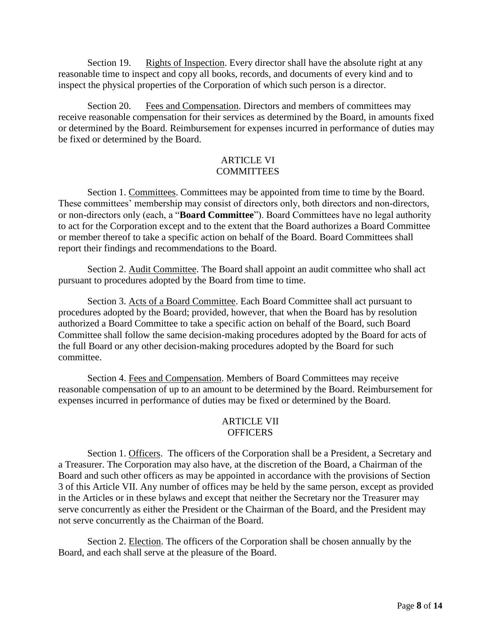Section 19. Rights of Inspection. Every director shall have the absolute right at any reasonable time to inspect and copy all books, records, and documents of every kind and to inspect the physical properties of the Corporation of which such person is a director.

Section 20. Fees and Compensation. Directors and members of committees may receive reasonable compensation for their services as determined by the Board, in amounts fixed or determined by the Board. Reimbursement for expenses incurred in performance of duties may be fixed or determined by the Board.

### ARTICLE VI **COMMITTEES**

Section 1. Committees. Committees may be appointed from time to time by the Board. These committees' membership may consist of directors only, both directors and non-directors, or non-directors only (each, a "**Board Committee**"). Board Committees have no legal authority to act for the Corporation except and to the extent that the Board authorizes a Board Committee or member thereof to take a specific action on behalf of the Board. Board Committees shall report their findings and recommendations to the Board.

Section 2. Audit Committee. The Board shall appoint an audit committee who shall act pursuant to procedures adopted by the Board from time to time.

Section 3. Acts of a Board Committee. Each Board Committee shall act pursuant to procedures adopted by the Board; provided, however, that when the Board has by resolution authorized a Board Committee to take a specific action on behalf of the Board, such Board Committee shall follow the same decision-making procedures adopted by the Board for acts of the full Board or any other decision-making procedures adopted by the Board for such committee.

Section 4. Fees and Compensation. Members of Board Committees may receive reasonable compensation of up to an amount to be determined by the Board. Reimbursement for expenses incurred in performance of duties may be fixed or determined by the Board.

## ARTICLE VII **OFFICERS**

Section 1. Officers. The officers of the Corporation shall be a President, a Secretary and a Treasurer. The Corporation may also have, at the discretion of the Board, a Chairman of the Board and such other officers as may be appointed in accordance with the provisions of Section 3 of this Article VII. Any number of offices may be held by the same person, except as provided in the Articles or in these bylaws and except that neither the Secretary nor the Treasurer may serve concurrently as either the President or the Chairman of the Board, and the President may not serve concurrently as the Chairman of the Board.

Section 2. Election. The officers of the Corporation shall be chosen annually by the Board, and each shall serve at the pleasure of the Board.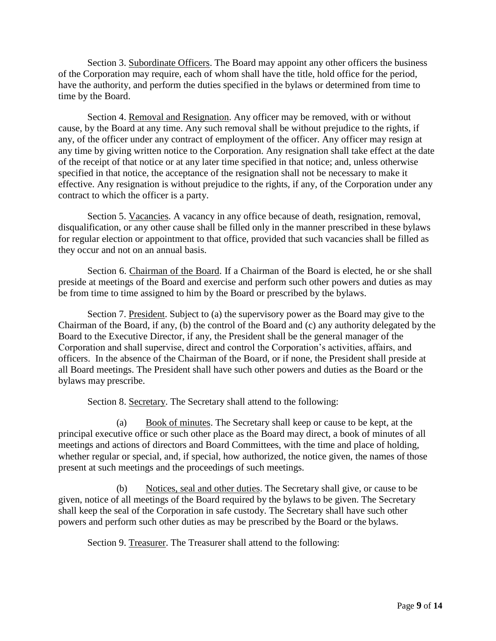Section 3. Subordinate Officers. The Board may appoint any other officers the business of the Corporation may require, each of whom shall have the title, hold office for the period, have the authority, and perform the duties specified in the bylaws or determined from time to time by the Board.

Section 4. Removal and Resignation. Any officer may be removed, with or without cause, by the Board at any time. Any such removal shall be without prejudice to the rights, if any, of the officer under any contract of employment of the officer. Any officer may resign at any time by giving written notice to the Corporation. Any resignation shall take effect at the date of the receipt of that notice or at any later time specified in that notice; and, unless otherwise specified in that notice, the acceptance of the resignation shall not be necessary to make it effective. Any resignation is without prejudice to the rights, if any, of the Corporation under any contract to which the officer is a party.

Section 5. Vacancies. A vacancy in any office because of death, resignation, removal, disqualification, or any other cause shall be filled only in the manner prescribed in these bylaws for regular election or appointment to that office, provided that such vacancies shall be filled as they occur and not on an annual basis.

Section 6. Chairman of the Board. If a Chairman of the Board is elected, he or she shall preside at meetings of the Board and exercise and perform such other powers and duties as may be from time to time assigned to him by the Board or prescribed by the bylaws.

Section 7. President. Subject to (a) the supervisory power as the Board may give to the Chairman of the Board, if any, (b) the control of the Board and (c) any authority delegated by the Board to the Executive Director, if any, the President shall be the general manager of the Corporation and shall supervise, direct and control the Corporation's activities, affairs, and officers. In the absence of the Chairman of the Board, or if none, the President shall preside at all Board meetings. The President shall have such other powers and duties as the Board or the bylaws may prescribe.

Section 8. Secretary. The Secretary shall attend to the following:

(a) Book of minutes. The Secretary shall keep or cause to be kept, at the principal executive office or such other place as the Board may direct, a book of minutes of all meetings and actions of directors and Board Committees, with the time and place of holding, whether regular or special, and, if special, how authorized, the notice given, the names of those present at such meetings and the proceedings of such meetings.

(b) Notices, seal and other duties. The Secretary shall give, or cause to be given, notice of all meetings of the Board required by the bylaws to be given. The Secretary shall keep the seal of the Corporation in safe custody. The Secretary shall have such other powers and perform such other duties as may be prescribed by the Board or the bylaws.

Section 9. Treasurer. The Treasurer shall attend to the following: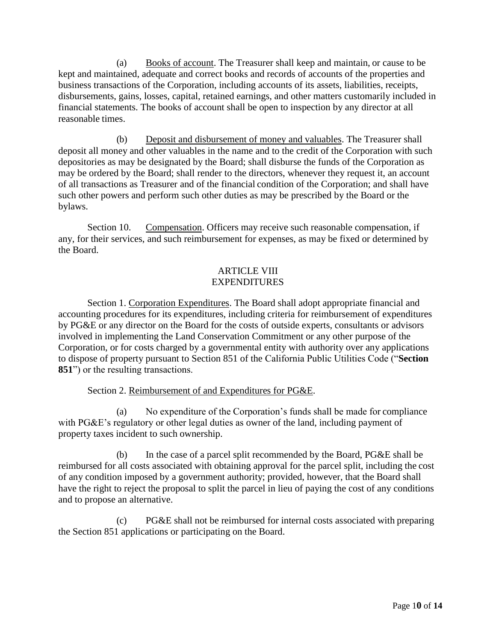(a) Books of account. The Treasurer shall keep and maintain, or cause to be kept and maintained, adequate and correct books and records of accounts of the properties and business transactions of the Corporation, including accounts of its assets, liabilities, receipts, disbursements, gains, losses, capital, retained earnings, and other matters customarily included in financial statements. The books of account shall be open to inspection by any director at all reasonable times.

(b) Deposit and disbursement of money and valuables. The Treasurer shall deposit all money and other valuables in the name and to the credit of the Corporation with such depositories as may be designated by the Board; shall disburse the funds of the Corporation as may be ordered by the Board; shall render to the directors, whenever they request it, an account of all transactions as Treasurer and of the financial condition of the Corporation; and shall have such other powers and perform such other duties as may be prescribed by the Board or the bylaws.

Section 10. Compensation. Officers may receive such reasonable compensation, if any, for their services, and such reimbursement for expenses, as may be fixed or determined by the Board.

# ARTICLE VIII EXPENDITURES

Section 1. Corporation Expenditures. The Board shall adopt appropriate financial and accounting procedures for its expenditures, including criteria for reimbursement of expenditures by PG&E or any director on the Board for the costs of outside experts, consultants or advisors involved in implementing the Land Conservation Commitment or any other purpose of the Corporation, or for costs charged by a governmental entity with authority over any applications to dispose of property pursuant to Section 851 of the California Public Utilities Code ("**Section 851**") or the resulting transactions.

# Section 2. Reimbursement of and Expenditures for PG&E.

(a) No expenditure of the Corporation's funds shall be made for compliance with PG&E's regulatory or other legal duties as owner of the land, including payment of property taxes incident to such ownership.

(b) In the case of a parcel split recommended by the Board, PG&E shall be reimbursed for all costs associated with obtaining approval for the parcel split, including the cost of any condition imposed by a government authority; provided, however, that the Board shall have the right to reject the proposal to split the parcel in lieu of paying the cost of any conditions and to propose an alternative.

(c) PG&E shall not be reimbursed for internal costs associated with preparing the Section 851 applications or participating on the Board.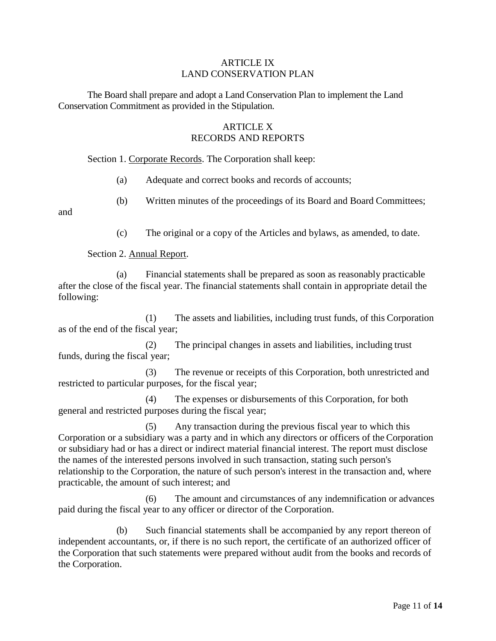### ARTICLE IX LAND CONSERVATION PLAN

The Board shall prepare and adopt a Land Conservation Plan to implement the Land Conservation Commitment as provided in the Stipulation.

# **ARTICLE X** RECORDS AND REPORTS

Section 1. Corporate Records. The Corporation shall keep:

(a) Adequate and correct books and records of accounts;

(b) Written minutes of the proceedings of its Board and Board Committees;

and

(c) The original or a copy of the Articles and bylaws, as amended, to date.

Section 2. Annual Report.

(a) Financial statements shall be prepared as soon as reasonably practicable after the close of the fiscal year. The financial statements shall contain in appropriate detail the following:

(1) The assets and liabilities, including trust funds, of this Corporation as of the end of the fiscal year;

(2) The principal changes in assets and liabilities, including trust funds, during the fiscal year;

(3) The revenue or receipts of this Corporation, both unrestricted and restricted to particular purposes, for the fiscal year;

(4) The expenses or disbursements of this Corporation, for both general and restricted purposes during the fiscal year;

(5) Any transaction during the previous fiscal year to which this Corporation or a subsidiary was a party and in which any directors or officers of the Corporation or subsidiary had or has a direct or indirect material financial interest. The report must disclose the names of the interested persons involved in such transaction, stating such person's relationship to the Corporation, the nature of such person's interest in the transaction and, where practicable, the amount of such interest; and

(6) The amount and circumstances of any indemnification or advances paid during the fiscal year to any officer or director of the Corporation.

(b) Such financial statements shall be accompanied by any report thereon of independent accountants, or, if there is no such report, the certificate of an authorized officer of the Corporation that such statements were prepared without audit from the books and records of the Corporation.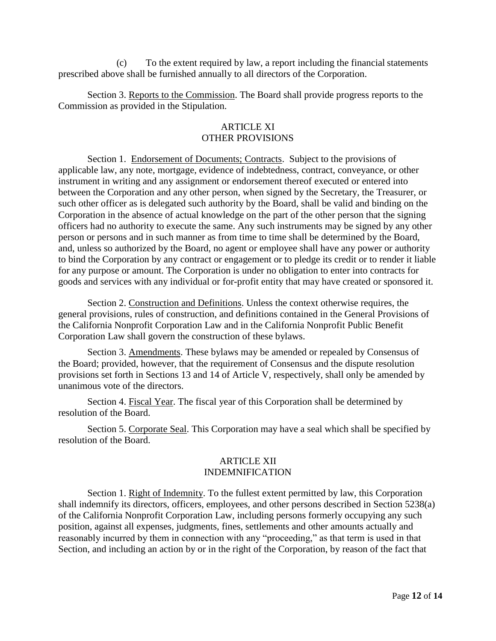(c) To the extent required by law, a report including the financial statements prescribed above shall be furnished annually to all directors of the Corporation.

Section 3. Reports to the Commission. The Board shall provide progress reports to the Commission as provided in the Stipulation.

## **ARTICLE XI** OTHER PROVISIONS

Section 1. Endorsement of Documents; Contracts. Subject to the provisions of applicable law, any note, mortgage, evidence of indebtedness, contract, conveyance, or other instrument in writing and any assignment or endorsement thereof executed or entered into between the Corporation and any other person, when signed by the Secretary, the Treasurer, or such other officer as is delegated such authority by the Board, shall be valid and binding on the Corporation in the absence of actual knowledge on the part of the other person that the signing officers had no authority to execute the same. Any such instruments may be signed by any other person or persons and in such manner as from time to time shall be determined by the Board, and, unless so authorized by the Board, no agent or employee shall have any power or authority to bind the Corporation by any contract or engagement or to pledge its credit or to render it liable for any purpose or amount. The Corporation is under no obligation to enter into contracts for goods and services with any individual or for-profit entity that may have created or sponsored it.

Section 2. Construction and Definitions. Unless the context otherwise requires, the general provisions, rules of construction, and definitions contained in the General Provisions of the California Nonprofit Corporation Law and in the California Nonprofit Public Benefit Corporation Law shall govern the construction of these bylaws.

Section 3. Amendments. These bylaws may be amended or repealed by Consensus of the Board; provided, however, that the requirement of Consensus and the dispute resolution provisions set forth in Sections 13 and 14 of Article V, respectively, shall only be amended by unanimous vote of the directors.

Section 4. Fiscal Year. The fiscal year of this Corporation shall be determined by resolution of the Board.

Section 5. Corporate Seal. This Corporation may have a seal which shall be specified by resolution of the Board.

### ARTICLE XII INDEMNIFICATION

Section 1. Right of Indemnity. To the fullest extent permitted by law, this Corporation shall indemnify its directors, officers, employees, and other persons described in Section 5238(a) of the California Nonprofit Corporation Law, including persons formerly occupying any such position, against all expenses, judgments, fines, settlements and other amounts actually and reasonably incurred by them in connection with any "proceeding," as that term is used in that Section, and including an action by or in the right of the Corporation, by reason of the fact that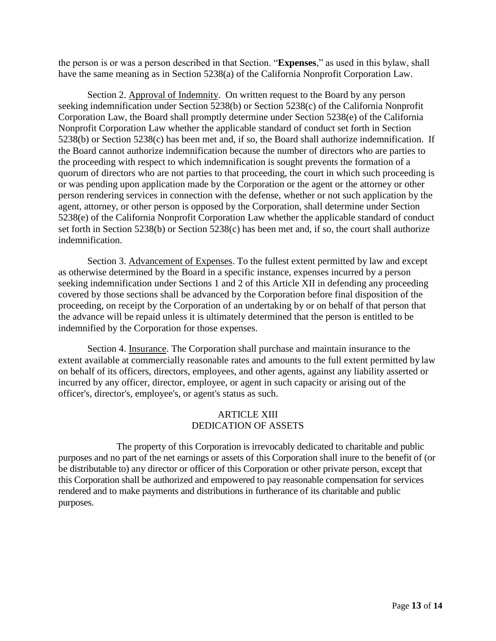the person is or was a person described in that Section. "**Expenses**," as used in this bylaw, shall have the same meaning as in Section 5238(a) of the California Nonprofit Corporation Law.

Section 2. Approval of Indemnity. On written request to the Board by any person seeking indemnification under Section 5238(b) or Section 5238(c) of the California Nonprofit Corporation Law, the Board shall promptly determine under Section 5238(e) of the California Nonprofit Corporation Law whether the applicable standard of conduct set forth in Section 5238(b) or Section 5238(c) has been met and, if so, the Board shall authorize indemnification. If the Board cannot authorize indemnification because the number of directors who are parties to the proceeding with respect to which indemnification is sought prevents the formation of a quorum of directors who are not parties to that proceeding, the court in which such proceeding is or was pending upon application made by the Corporation or the agent or the attorney or other person rendering services in connection with the defense, whether or not such application by the agent, attorney, or other person is opposed by the Corporation, shall determine under Section 5238(e) of the California Nonprofit Corporation Law whether the applicable standard of conduct set forth in Section 5238(b) or Section 5238(c) has been met and, if so, the court shall authorize indemnification.

Section 3. Advancement of Expenses. To the fullest extent permitted by law and except as otherwise determined by the Board in a specific instance, expenses incurred by a person seeking indemnification under Sections 1 and 2 of this Article XII in defending any proceeding covered by those sections shall be advanced by the Corporation before final disposition of the proceeding, on receipt by the Corporation of an undertaking by or on behalf of that person that the advance will be repaid unless it is ultimately determined that the person is entitled to be indemnified by the Corporation for those expenses.

Section 4. Insurance. The Corporation shall purchase and maintain insurance to the extent available at commercially reasonable rates and amounts to the full extent permitted by law on behalf of its officers, directors, employees, and other agents, against any liability asserted or incurred by any officer, director, employee, or agent in such capacity or arising out of the officer's, director's, employee's, or agent's status as such.

### ARTICLE XIII DEDICATION OF ASSETS

The property of this Corporation is irrevocably dedicated to charitable and public purposes and no part of the net earnings or assets of this Corporation shall inure to the benefit of (or be distributable to) any director or officer of this Corporation or other private person, except that this Corporation shall be authorized and empowered to pay reasonable compensation for services rendered and to make payments and distributions in furtherance of its charitable and public purposes.